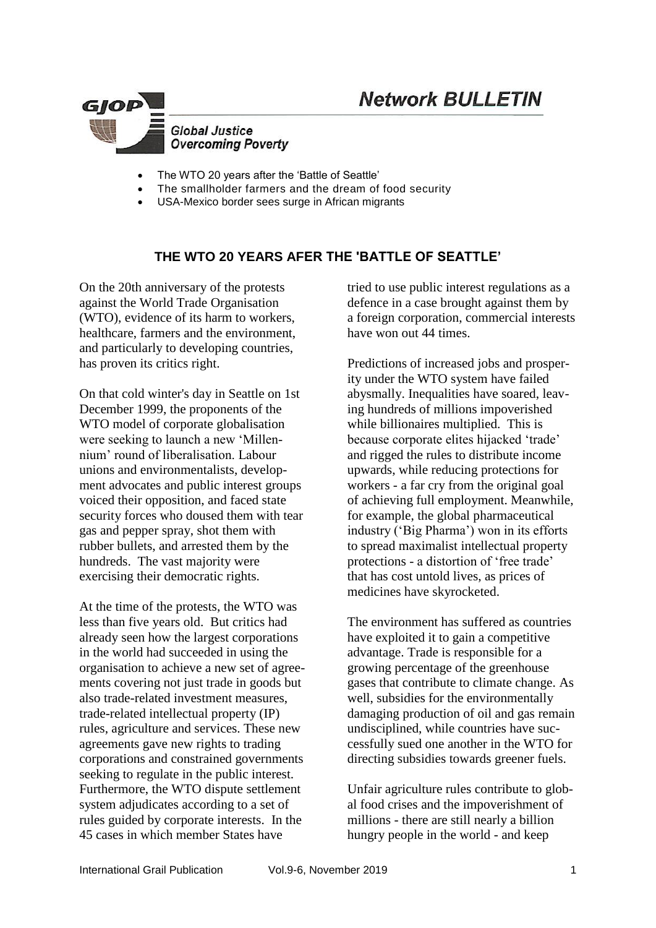# **Network BULLETIN**



- The WTO 20 years after the 'Battle of Seattle'
- The smallholder farmers and the dream of food security
- USA-Mexico border sees surge in African migrants

## **THE WTO 20 YEARS AFER THE 'BATTLE OF SEATTLE'**

On the 20th anniversary of the protests against the World Trade Organisation (WTO), evidence of its harm to workers, healthcare, farmers and the environment, and particularly to developing countries, has proven its critics right.

On that cold winter's day in Seattle on 1st December 1999, the proponents of the WTO model of corporate globalisation were seeking to launch a new 'Millennium' round of liberalisation. Labour unions and environmentalists, development advocates and public interest groups voiced their opposition, and faced state security forces who doused them with tear gas and pepper spray, shot them with rubber bullets, and arrested them by the hundreds. The vast majority were exercising their democratic rights.

At the time of the protests, the WTO was less than five years old. But critics had already seen how the largest corporations in the world had succeeded in using the organisation to achieve a new set of agreements covering not just trade in goods but also trade-related investment measures, trade-related intellectual property (IP) rules, agriculture and services. These new agreements gave new rights to trading corporations and constrained governments seeking to regulate in the public interest. Furthermore, the WTO dispute settlement system adjudicates according to a set of rules guided by corporate interests. In the 45 cases in which member States have

tried to use public interest regulations as a defence in a case brought against them by a foreign corporation, [commercial interests](https://www.citizen.org/wp-content/uploads/general-exception_1.pdf)  [have won](https://www.citizen.org/wp-content/uploads/general-exception_1.pdf) out 44 times.

Predictions of increased jobs and prosperity under the WTO system have failed abysmally. Inequalities have soared, leaving hundreds of millions impoverished while billionaires multiplied. This is because corporate elites hijacked 'trade' and rigged the rules to distribute income upwards, while reducing protections for workers - a far cry from the original goal of achieving full employment. Meanwhile, for example, the global pharmaceutical industry ('Big Pharma') won in its efforts to spread maximalist [intellectual](http://america.aljazeera.com/opinions/2014/11/drug-patents-pharmaceuticalindustrygenericsindia.html) property [protections](http://america.aljazeera.com/opinions/2014/11/drug-patents-pharmaceuticalindustrygenericsindia.html) - a distortion of 'free trade' that has cost untold lives, as prices of medicines have skyrocketed.

The environment has suffered as countries have exploited it to gain a competitive advantage. Trade is responsible for a growing percentage of the greenhouse gases that contribute to [climate change](https://www.aljazeera.com/topics/issues/climate-change.html). As well, subsidies for the environmentally damaging production of oil and gas remain undisciplined, while countries have successfully [sued](https://www.sierraclub.org/press-releases/2019/11/wto-rules-against-us-clean-energy-programs) one another in the WTO for directing subsidies towards greener fuels.

Unfair agriculture rules contribute to global food crises and the impoverishment of millions - there are still nearly a billion hungry people in the world - and keep

International Grail Publication Vol.9-6, November 2019 1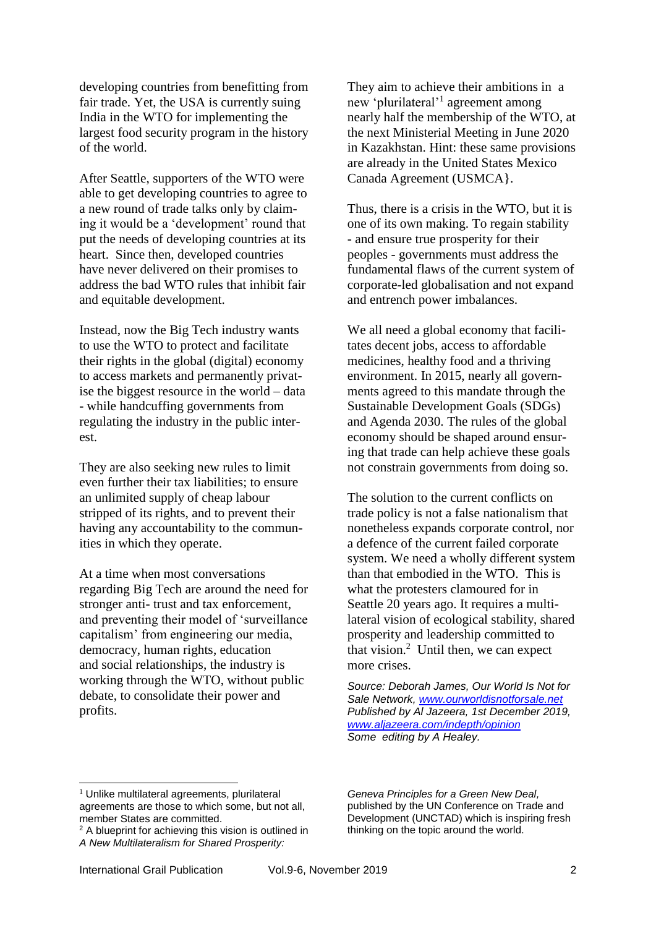developing countries from benefitting from fair trade. Yet, the USA is currently suing India in the WTO for implementing the largest [food security program](https://www.sierraclub.org/press-releases/2019/11/wto-rules-against-us-clean-energy-programs) in the history of the world.

After Seattle, supporters of the WTO were able to get developing countries to agree to a new round of trade talks only by claiming it would be a 'development' round that put the needs of developing countries at its heart. Since then, developed countries have never delivered on their promises to address the bad WTO rules that inhibit fair and equitable development.

Instead, now the Big Tech industry wants to use the WTO to protect and facilitate their rights in the [global \(digital\) economy](http://cepr.net/publications/op-eds-columns/giant-tech-corporations-join-forces-with-the-wto-to-try-to-launch-a-wto-2-0-to-cement-digital-colonialism-through-international-treaties) to access markets and permanently privatise the biggest resource in the world – data - while handcuffing governments from regulating the industry in the public interest.

They are also [seeking new rules](https://ourworldisnotforsale.net/2019/Digital_trade_2019-04-01-en.pdf) to limit even further their [tax liabilities;](https://link.springer.com/epdf/10.1057/s41301-019-00205-4?author_access_token=LEQAjw6_uYVFUZYXQaceL1xOt48VBPO10Uv7D6sAgHvIbAQlRTdani3r_BjdRTz9hy0keOW3-Qpp2pXQCU2Blihy0ItrB_C0xcBZDOJQfxEB3eS16_oT34Zp_4gg__WFpeIKtG3l_07uSnrtpgPiLg%3D%3D) to ensure an unlimited supply of cheap labour stripped of its rights, and to prevent their having any accountability to the communities in which they operate.

At a time when most conversations regarding Big Tech are around the need for stronger anti- trust and tax enforcement, and preventing their model of 'surveillance capitalism' from engineering our media, democracy, human rights, education and social relationships, the industry is working through the WTO, without public debate, to consolidate their power and profits.

They aim to achieve their ambitions in a new 'plurilateral'<sup>1</sup> agreement among nearly half the membership of the WTO, at the next Ministerial Meeting in June 2020 in Kazakhstan. Hint: these [same provisions](http://cepr.net/press-center/press-releases/will-the-new-nafta-and-future-trade-deals-serve-us-interests) are already in [the](https://www.aljazeera.com/news/2018/11/mexico-canada-sign-usmca-trade-deal-181130130126984.html) United States Mexico Canada Agreement (USMCA}.

Thus, there is a crisis in the WTO, but it is one of its own making. To regain stability - and ensure true prosperity for their peoples - governments must address the fundamental flaws of the current system of corporate-led globalisation and not expand and entrench power imbalances.

We all need a global economy that facilitates decent jobs, access to affordable medicines, healthy food and a thriving environment. In 2015, nearly all governments agreed to this mandate through the Sustainable Development Goals (SDGs) and Agenda 2030. The rules of the global economy should be shaped around ensuring that trade can help achieve these goals not constrain governments from doing so.

The solution to the current conflicts on trade policy is not a false nationalism that nonetheless expands corporate control, nor a defence of the current failed corporate system. We need a wholly different system than that embodied in the WTO. This is what the protesters clamoured for in Seattle 20 years ago. It requires a multilateral vision of ecological stability, shared prosperity and leadership committed to that vision. $2$  Until then, we can expect more crises.

*Source: Deborah James, Our World Is Not for Sale Network, [www.ourworldisnotforsale.net](http://www.ourworldisnotforsale.net/)  Published by Al Jazeera, 1st December 2019, [www.aljazeera.com/indepth/opinion](http://www.aljazeera.com/indepth/opinion) Some editing by A Healey.*

*Geneva Principles for a Green New Deal,* published by the UN Conference on Trade and Development (UNCTAD) which is inspiring fresh thinking on the topic around the world.

-

 $<sup>1</sup>$  Unlike multilateral agreements, plurilateral</sup> agreements are those to which some, but not all, member States are committed.

<sup>&</sup>lt;sup>2</sup> A blueprint for achieving this vision is [outlined](https://unctad.org/en/pages/newsdetails.aspx?OriginalVersionID=2057) in *A New Multilateralism for Shared Prosperity:*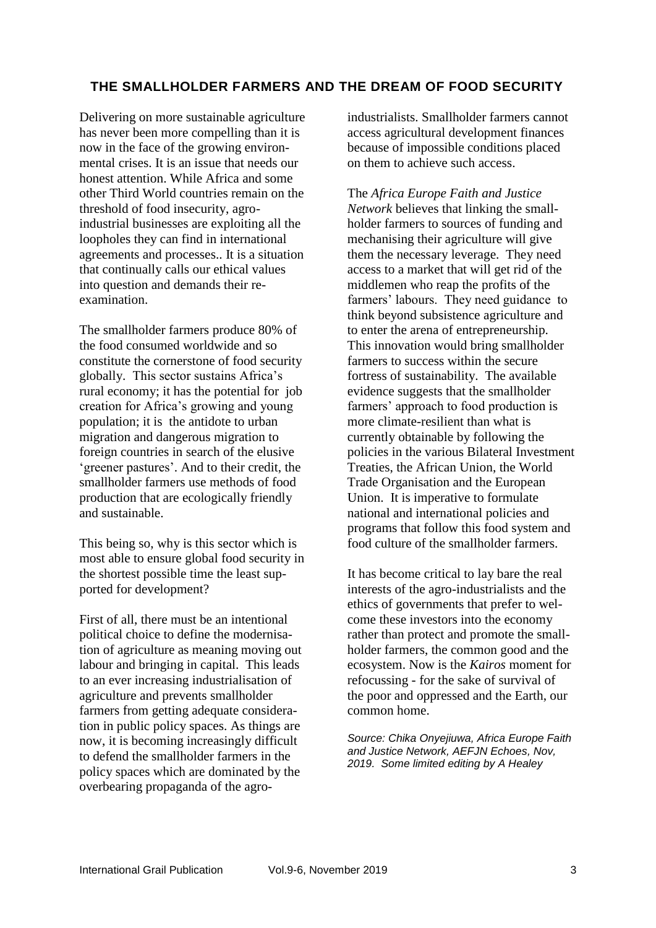# **THE SMALLHOLDER FARMERS AND THE DREAM OF FOOD SECURITY**

Delivering on more sustainable agriculture has never been more compelling than it is now in the face of the growing environmental crises. It is an issue that needs our honest attention. While Africa and some other Third World countries remain on the threshold of food insecurity, agroindustrial businesses are exploiting all the loopholes they can find in international agreements and processes.. It is a situation that continually calls our ethical values into question and demands their reexamination.

The smallholder farmers produce 80% of the food consumed worldwide and so constitute the cornerstone of food security globally. This sector sustains Africa's rural economy; it has the potential for job creation for Africa's growing and young population; it is the antidote to urban migration and dangerous migration to foreign countries in search of the elusive 'greener pastures'. And to their credit, the smallholder farmers use methods of food production that are ecologically friendly and sustainable.

This being so, why is this sector which is most able to ensure global food security in the shortest possible time the least supported for development?

First of all, there must be an intentional political choice to define the modernisation of agriculture as meaning moving out labour and bringing in capital. This leads to an ever increasing industrialisation of agriculture and prevents smallholder farmers from getting adequate consideration in public policy spaces. As things are now, it is becoming increasingly difficult to defend the smallholder farmers in the policy spaces which are dominated by the overbearing propaganda of the agroindustrialists. Smallholder farmers cannot access agricultural development finances because of impossible conditions placed on them to achieve such access.

The *Africa Europe Faith and Justice Network* believes that linking the smallholder farmers to sources of funding and mechanising their agriculture will give them the necessary leverage. They need access to a market that will get rid of the middlemen who reap the profits of the farmers' labours. They need guidance to think beyond subsistence agriculture and to enter the arena of entrepreneurship. This innovation would bring smallholder farmers to success within the secure fortress of sustainability. The available evidence suggests that the smallholder farmers' approach to food production is more climate-resilient than what is currently obtainable by following the policies in the various Bilateral Investment Treaties, the African Union, the World Trade Organisation and the European Union. It is imperative to formulate national and international policies and programs that follow this food system and food culture of the smallholder farmers.

It has become critical to lay bare the real interests of the agro-industrialists and the ethics of governments that prefer to welcome these investors into the economy rather than protect and promote the smallholder farmers, the common good and the ecosystem. Now is the *Kairos* moment for refocussing - for the sake of survival of the poor and oppressed and the Earth, our common home.

*Source: Chika Onyejiuwa, Africa Europe Faith and Justice Network, AEFJN Echoes, Nov, 2019. Some limited editing by A Healey*